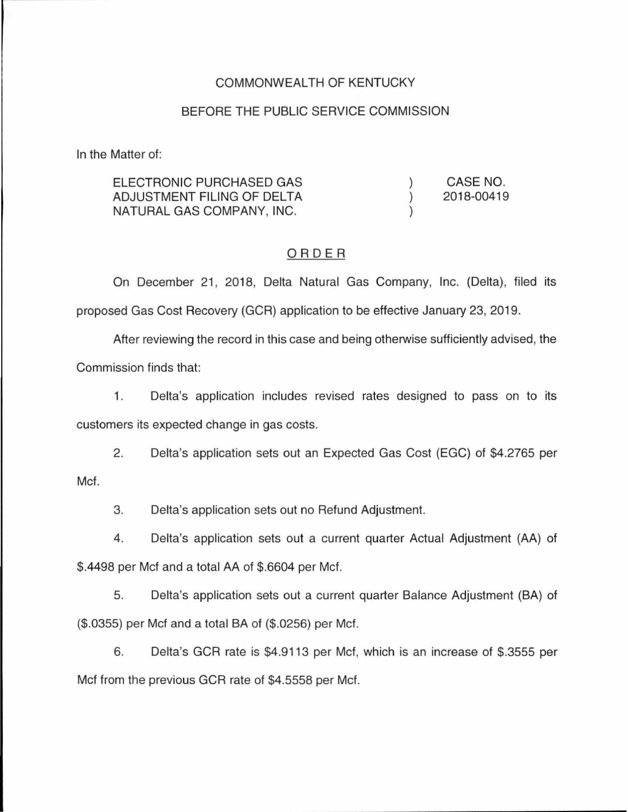### COMMONWEALTH OF KENTUCKY

#### BEFORE THE PUBLIC SERVICE COMMISSION

In the Matter of:

ELECTRONIC PURCHASED GAS CASE NO. ADJUSTMENT FILING OF DELTA  $\lambda$ 2018-00419 NATURAL GAS COMPANY, INC.  $\lambda$ 

#### ORDER

On December 21, 2018, Delta Natural Gas Company, Inc. (Delta), filed its proposed Gas Cost Recovery (GCR) application to be effective January 23, 2019.

After reviewing the record in this case and being otherwise sufficiently advised, the Commission finds that:

1 . Delta's application includes revised rates designed to pass on to its customers its expected change in gas costs.

2. Delta's application sets out an Expected Gas Cost (EGG) of \$4.2765 per Met.

3. Delta's application sets out no Refund Adjustment.

4. Delta's application sets out a current quarter Actual Adjustment (AA) of \$.4498 per Met and a total AA of \$.6604 per Met.

5. Delta's application sets out a current quarter Balance Adjustment (BA) of (\$.0355) per Met and a total BA of (\$.0256) per Met.

6. Delta's GCR rate is \$4.9113 per Met, which is an increase of \$.3555 per Met from the previous GCR rate of \$4.5558 per Met.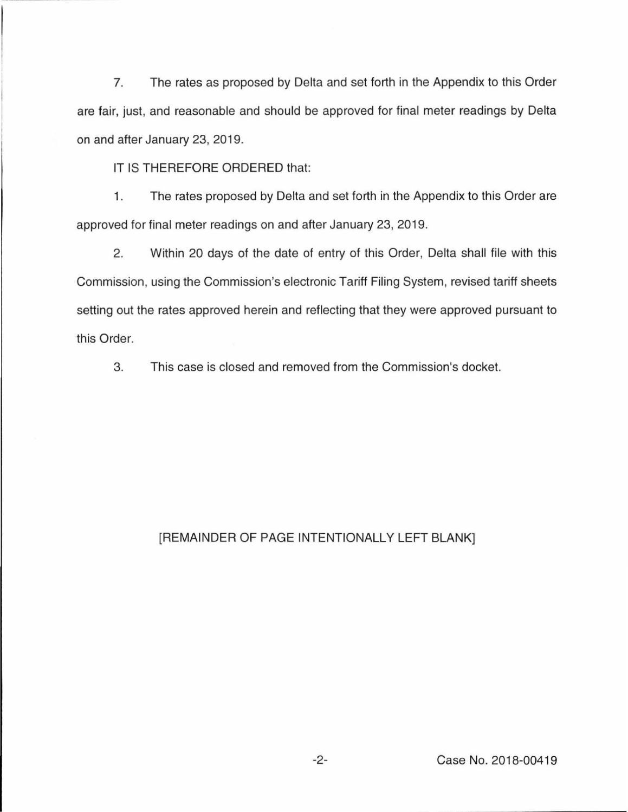7. The rates as proposed by Delta and set forth in the Appendix to this Order are fair, just, and reasonable and should be approved for final meter readings by Delta on and after January 23, 2019.

IT IS THEREFORE ORDERED that:

1. The rates proposed by Delta and set forth in the Appendix to this Order are approved for final meter readings on and after January 23, 2019.

2. Within 20 days of the date of entry of this Order, Delta shall file with this Commission, using the Commission's electronic Tariff Filing System, revised tariff sheets setting out the rates approved herein and reflecting that they were approved pursuant to this Order.

3. This case is closed and removed from the Commission's docket.

# [REMAINDER OF PAGE INTENTIONALLY LEFT BLANK]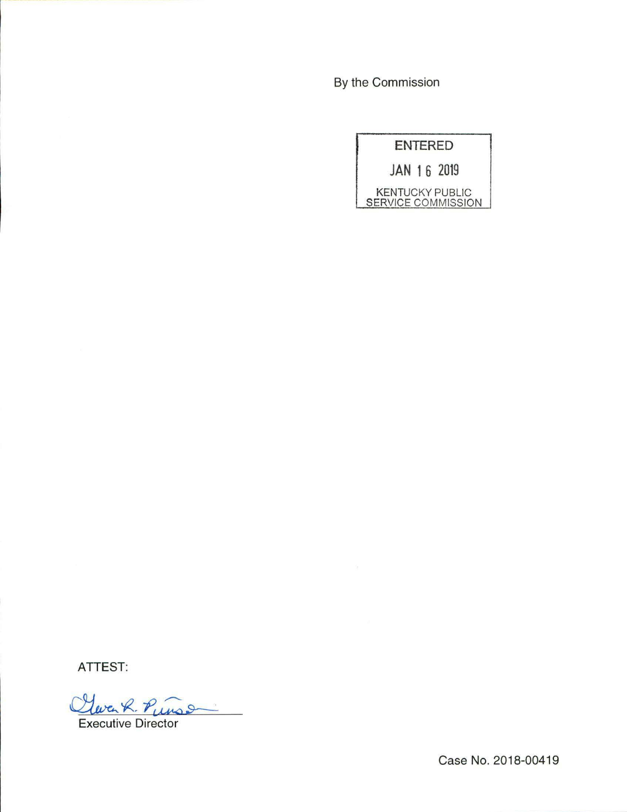By the Commission

|                                              | <b>ENTERED</b> |  |
|----------------------------------------------|----------------|--|
|                                              | JAN 16 2019    |  |
| <b>KENTUCKY PUBLIC</b><br>SERVICE COMMISSION |                |  |

**ATTEST:** 

Cleven R. Punson

Case No. 2018-00419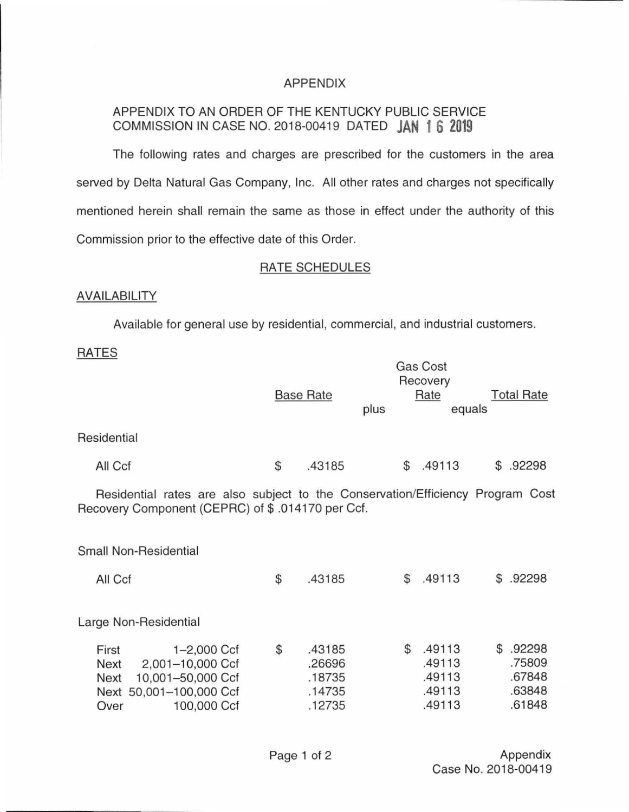# APPENDIX

# APPENDIX TO AN ORDER OF THE KENTUCKY PUBLIC SERVICE COMMISSION IN CASE NO. 2018-00419 DATED **JAN 1 6 2019**

The following rates and charges are prescribed for the customers in the area served by Delta Natural Gas Company, Inc. All other rates and charges not specifically mentioned herein shall remain the same as those in effect under the authority of this Commission prior to the effective date of this Order.

## RATE SCHEDULES

## AVAILABILITY

Available for general use by residential, commercial, and industrial customers.

## RATES

|                                                                                                                                     |    | <b>Base Rate</b>                               | plus |                | Gas Cost<br>Recovery<br>Rate<br>equals         |  | <b>Total Rate</b>                                |  |
|-------------------------------------------------------------------------------------------------------------------------------------|----|------------------------------------------------|------|----------------|------------------------------------------------|--|--------------------------------------------------|--|
| Residential                                                                                                                         |    |                                                |      |                |                                                |  |                                                  |  |
| All Ccf                                                                                                                             | \$ | .43185                                         |      | \$             | .49113                                         |  | \$.92298                                         |  |
| Residential rates are also subject to the Conservation/Efficiency Program Cost<br>Recovery Component (CEPRC) of \$.014170 per Ccf.  |    |                                                |      |                |                                                |  |                                                  |  |
| Small Non-Residential                                                                                                               |    |                                                |      |                |                                                |  |                                                  |  |
| All Ccf                                                                                                                             | \$ | .43185                                         |      | \$             | .49113                                         |  | \$.92298                                         |  |
| Large Non-Residential                                                                                                               |    |                                                |      |                |                                                |  |                                                  |  |
| First<br>$1 - 2,000$ Ccf<br>2,001-10,000 Ccf<br>Next<br>10,001-50,000 Ccf<br>Next<br>Next 50,001-100,000 Ccf<br>100,000 Ccf<br>Over | \$ | .43185<br>.26696<br>.18735<br>.14735<br>.12735 |      | $$\mathbb{S}$$ | .49113<br>.49113<br>.49113<br>.49113<br>.49113 |  | \$.92298<br>.75809<br>.67848<br>.63848<br>.61848 |  |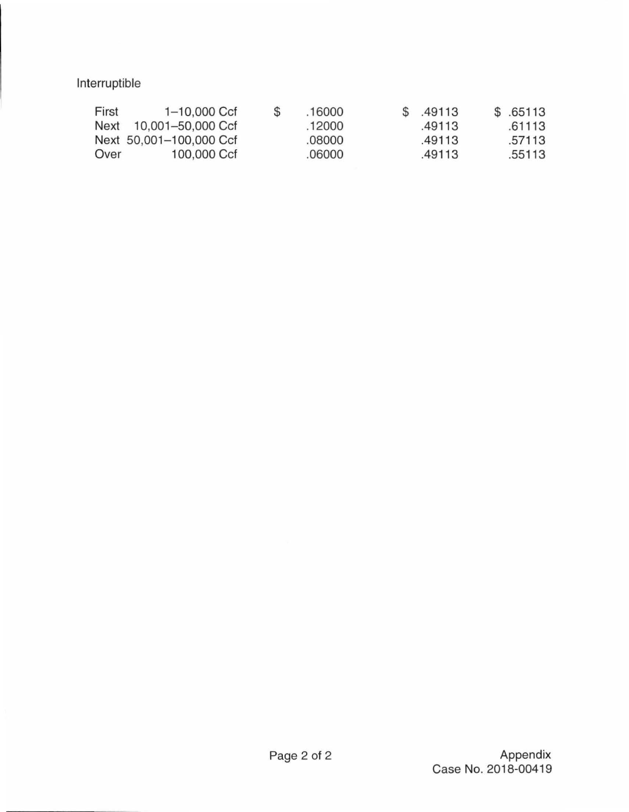Interruptible

| First | $1 - 10,000$ Ccf        | \$<br>.16000 | \$ .49113 | \$.65113 |
|-------|-------------------------|--------------|-----------|----------|
|       | Next 10,001-50,000 Ccf  | .12000       | .49113    | .61113   |
|       | Next 50,001-100,000 Ccf | .08000       | .49113    | .57113   |
| Over  | 100,000 Ccf             | .06000       | .49113    | .55113   |